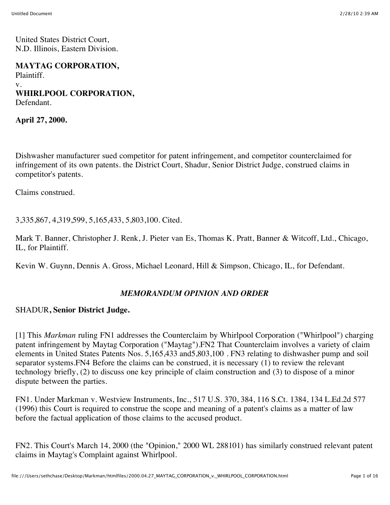United States District Court, N.D. Illinois, Eastern Division.

**MAYTAG CORPORATION,** Plaintiff. v. **WHIRLPOOL CORPORATION,** Defendant.

**April 27, 2000.**

Dishwasher manufacturer sued competitor for patent infringement, and competitor counterclaimed for infringement of its own patents. the District Court, Shadur, Senior District Judge, construed claims in competitor's patents.

Claims construed.

3,335,867, 4,319,599, 5,165,433, 5,803,100. Cited.

Mark T. Banner, Christopher J. Renk, J. Pieter van Es, Thomas K. Pratt, Banner & Witcoff, Ltd., Chicago, IL, for Plaintiff.

Kevin W. Guynn, Dennis A. Gross, Michael Leonard, Hill & Simpson, Chicago, IL, for Defendant.

#### *MEMORANDUM OPINION AND ORDER*

#### SHADUR**, Senior District Judge.**

[1] This *Markman* ruling FN1 addresses the Counterclaim by Whirlpool Corporation ("Whirlpool") charging patent infringement by Maytag Corporation ("Maytag").FN2 That Counterclaim involves a variety of claim elements in United States Patents Nos. 5,165,433 and5,803,100 . FN3 relating to dishwasher pump and soil separator systems. FN4 Before the claims can be construed, it is necessary (1) to review the relevant technology briefly, (2) to discuss one key principle of claim construction and (3) to dispose of a minor dispute between the parties.

FN1. Under Markman v. Westview Instruments, Inc., 517 U.S. 370, 384, 116 S.Ct. 1384, 134 L.Ed.2d 577 (1996) this Court is required to construe the scope and meaning of a patent's claims as a matter of law before the factual application of those claims to the accused product.

FN2. This Court's March 14, 2000 (the "Opinion," 2000 WL 288101) has similarly construed relevant patent claims in Maytag's Complaint against Whirlpool.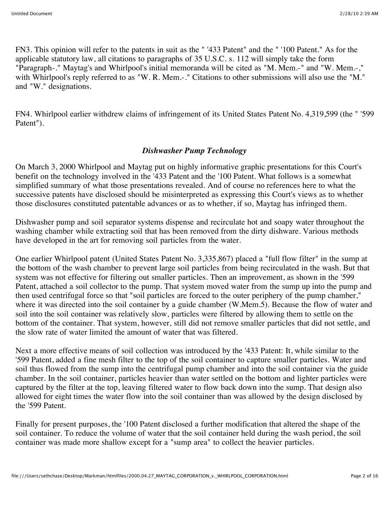FN3. This opinion will refer to the patents in suit as the " '433 Patent" and the " '100 Patent." As for the applicable statutory law, all citations to paragraphs of 35 U.S.C. s. 112 will simply take the form "Paragraph-." Maytag's and Whirlpool's initial memoranda will be cited as "M. Mem.-" and "W. Mem.-," with Whirlpool's reply referred to as "W. R. Mem.-." Citations to other submissions will also use the "M." and "W." designations.

FN4. Whirlpool earlier withdrew claims of infringement of its United States Patent No. 4,319,599 (the " '599 Patent").

#### *Dishwasher Pump Technology*

On March 3, 2000 Whirlpool and Maytag put on highly informative graphic presentations for this Court's benefit on the technology involved in the '433 Patent and the '100 Patent. What follows is a somewhat simplified summary of what those presentations revealed. And of course no references here to what the successive patents have disclosed should be misinterpreted as expressing this Court's views as to whether those disclosures constituted patentable advances or as to whether, if so, Maytag has infringed them.

Dishwasher pump and soil separator systems dispense and recirculate hot and soapy water throughout the washing chamber while extracting soil that has been removed from the dirty dishware. Various methods have developed in the art for removing soil particles from the water.

One earlier Whirlpool patent (United States Patent No. 3,335,867) placed a "full flow filter" in the sump at the bottom of the wash chamber to prevent large soil particles from being recirculated in the wash. But that system was not effective for filtering out smaller particles. Then an improvement, as shown in the '599 Patent, attached a soil collector to the pump. That system moved water from the sump up into the pump and then used centrifugal force so that "soil particles are forced to the outer periphery of the pump chamber," where it was directed into the soil container by a guide chamber (W.Mem.5). Because the flow of water and soil into the soil container was relatively slow, particles were filtered by allowing them to settle on the bottom of the container. That system, however, still did not remove smaller particles that did not settle, and the slow rate of water limited the amount of water that was filtered.

Next a more effective means of soil collection was introduced by the '433 Patent: It, while similar to the '599 Patent, added a fine mesh filter to the top of the soil container to capture smaller particles. Water and soil thus flowed from the sump into the centrifugal pump chamber and into the soil container via the guide chamber. In the soil container, particles heavier than water settled on the bottom and lighter particles were captured by the filter at the top, leaving filtered water to flow back down into the sump. That design also allowed for eight times the water flow into the soil container than was allowed by the design disclosed by the '599 Patent.

Finally for present purposes, the '100 Patent disclosed a further modification that altered the shape of the soil container. To reduce the volume of water that the soil container held during the wash period, the soil container was made more shallow except for a "sump area" to collect the heavier particles.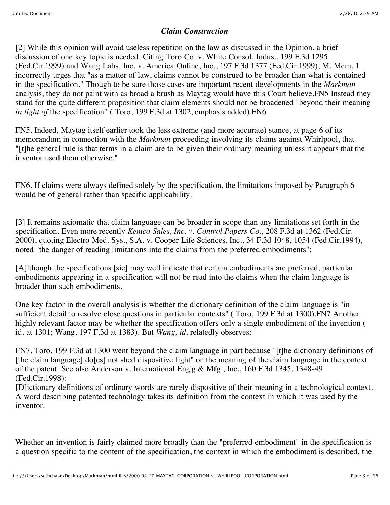#### *Claim Construction*

[2] While this opinion will avoid useless repetition on the law as discussed in the Opinion, a brief discussion of one key topic is needed. Citing Toro Co. v. White Consol. Indus., 199 F.3d 1295 (Fed.Cir.1999) and Wang Labs. Inc. v. America Online, Inc., 197 F.3d 1377 (Fed.Cir.1999), M. Mem. 1 incorrectly urges that "as a matter of law, claims cannot be construed to be broader than what is contained in the specification." Though to be sure those cases are important recent developments in the *Markman* analysis, they do not paint with as broad a brush as Maytag would have this Court believe.FN5 Instead they stand for the quite different proposition that claim elements should not be broadened "beyond their meaning *in light of* the specification" ( Toro, 199 F.3d at 1302, emphasis added).FN6

FN5. Indeed, Maytag itself earlier took the less extreme (and more accurate) stance, at page 6 of its memorandum in connection with the *Markman* proceeding involving its claims against Whirlpool, that "[t]he general rule is that terms in a claim are to be given their ordinary meaning unless it appears that the inventor used them otherwise."

FN6. If claims were always defined solely by the specification, the limitations imposed by Paragraph 6 would be of general rather than specific applicability.

[3] It remains axiomatic that claim language can be broader in scope than any limitations set forth in the specification. Even more recently *Kemco Sales, Inc. v. Control Papers Co.,* 208 F.3d at 1362 (Fed.Cir. 2000), quoting Electro Med. Sys., S.A. v. Cooper Life Sciences, Inc., 34 F.3d 1048, 1054 (Fed.Cir.1994), noted "the danger of reading limitations into the claims from the preferred embodiments":

[A]lthough the specifications [sic] may well indicate that certain embodiments are preferred, particular embodiments appearing in a specification will not be read into the claims when the claim language is broader than such embodiments.

One key factor in the overall analysis is whether the dictionary definition of the claim language is "in sufficient detail to resolve close questions in particular contexts" ( Toro, 199 F.3d at 1300).FN7 Another highly relevant factor may be whether the specification offers only a single embodiment of the invention ( id. at 1301; Wang, 197 F.3d at 1383). But *Wang, id.* relatedly observes:

FN7. Toro, 199 F.3d at 1300 went beyond the claim language in part because "[t]he dictionary definitions of [the claim language] do[es] not shed dispositive light" on the meaning of the claim language in the context of the patent. See also Anderson v. International Eng'g & Mfg., Inc., 160 F.3d 1345, 1348-49 (Fed.Cir.1998):

[D]ictionary definitions of ordinary words are rarely dispositive of their meaning in a technological context. A word describing patented technology takes its definition from the context in which it was used by the inventor.

Whether an invention is fairly claimed more broadly than the "preferred embodiment" in the specification is a question specific to the content of the specification, the context in which the embodiment is described, the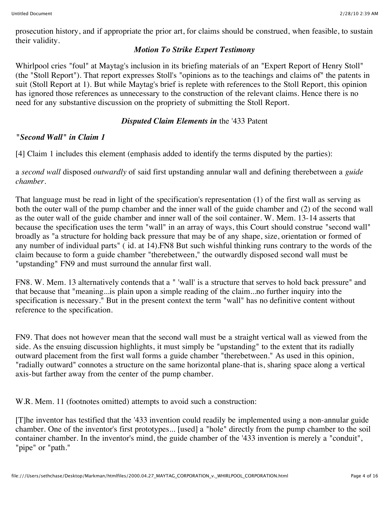prosecution history, and if appropriate the prior art, for claims should be construed, when feasible, to sustain their validity.

#### *Motion To Strike Expert Testimony*

Whirlpool cries "foul" at Maytag's inclusion in its briefing materials of an "Expert Report of Henry Stoll" (the "Stoll Report"). That report expresses Stoll's "opinions as to the teachings and claims of" the patents in suit (Stoll Report at 1). But while Maytag's brief is replete with references to the Stoll Report, this opinion has ignored those references as unnecessary to the construction of the relevant claims. Hence there is no need for any substantive discussion on the propriety of submitting the Stoll Report.

#### *Disputed Claim Elements in* the '433 Patent

## *"Second Wall" in Claim 1*

[4] Claim 1 includes this element (emphasis added to identify the terms disputed by the parties):

a *second wall* disposed *outwardly* of said first upstanding annular wall and defining therebetween a *guide chamber.*

That language must be read in light of the specification's representation (1) of the first wall as serving as both the outer wall of the pump chamber and the inner wall of the guide chamber and (2) of the second wall as the outer wall of the guide chamber and inner wall of the soil container. W. Mem. 13-14 asserts that because the specification uses the term "wall" in an array of ways, this Court should construe "second wall" broadly as "a structure for holding back pressure that may be of any shape, size, orientation or formed of any number of individual parts" ( id. at 14).FN8 But such wishful thinking runs contrary to the words of the claim because to form a guide chamber "therebetween," the outwardly disposed second wall must be "upstanding" FN9 and must surround the annular first wall.

FN8. W. Mem. 13 alternatively contends that a " 'wall' is a structure that serves to hold back pressure" and that because that "meaning...is plain upon a simple reading of the claim...no further inquiry into the specification is necessary." But in the present context the term "wall" has no definitive content without reference to the specification.

FN9. That does not however mean that the second wall must be a straight vertical wall as viewed from the side. As the ensuing discussion highlights, it must simply be "upstanding" to the extent that its radially outward placement from the first wall forms a guide chamber "therebetween." As used in this opinion, "radially outward" connotes a structure on the same horizontal plane-that is, sharing space along a vertical axis-but farther away from the center of the pump chamber.

W.R. Mem. 11 (footnotes omitted) attempts to avoid such a construction:

[T]he inventor has testified that the '433 invention could readily be implemented using a non-annular guide chamber. One of the inventor's first prototypes... [used] a "hole" directly from the pump chamber to the soil container chamber. In the inventor's mind, the guide chamber of the '433 invention is merely a "conduit", "pipe" or "path."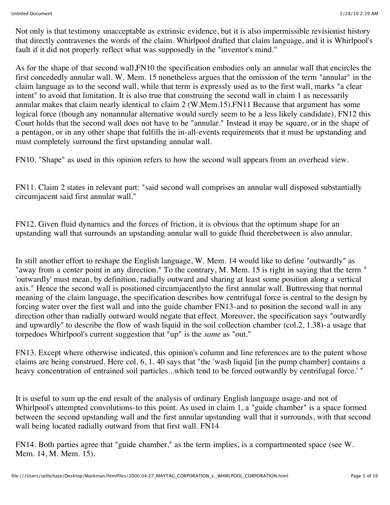Not only is that testimony unacceptable as extrinsic evidence, but it is also impermissible revisionist history that directly contravenes the words of the claim. Whirlpool drafted that claim language, and it is Whirlpool's fault if it did not properly reflect what was supposedly in the "inventor's mind."

As for the shape of that second wall,FN10 the specification embodies only an annular wall that encircles the first concededly annular wall. W. Mem. 15 nonetheless argues that the omission of the term "annular" in the claim language as to the second wall, while that term is expressly used as to the first wall, marks "a clear intent" to avoid that limitation. It is also true that construing the second wall in claim 1 as necessarily annular makes that claim nearly identical to claim 2 (W.Mem.15).FN11 Because that argument has some logical force (though any nonannular alternative would surely seem to be a less likely candidate), FN12 this Court holds that the second wall does not have to be "annular." Instead it may be square, or in the shape of a pentagon, or in any other shape that fulfills the in-all-events requirements that it must be upstanding and must completely surround the first upstanding annular wall.

FN10. "Shape" as used in this opinion refers to how the second wall appears from an overhead view.

FN11. Claim 2 states in relevant part: "said second wall comprises an annular wall disposed substantially circumjacent said first annular wall."

FN12. Given fluid dynamics and the forces of friction, it is obvious that the optimum shape for an upstanding wall that surrounds an upstanding annular wall to guide fluid therebetween is also annular.

In still another effort to reshape the English language, W. Mem. 14 would like to define "outwardly" as "away from a center point in any direction." To the contrary, M. Mem. 15 is right in saying that the term " 'outwardly' must mean, by definition, radially outward and sharing at least some position along a vertical axis." Hence the second wall is positioned circumjacentlyto the first annular wall. Buttressing that normal meaning of the claim language, the specification describes how centrifugal force is central to the design by forcing water over the first wall and into the guide chamber FN13-and to position the second wall in any direction other than radially outward would negate that effect. Moreover, the specification says "outwardly and upwardly" to describe the flow of wash liquid in the soil collection chamber (col.2, 1.38)-a usage that torpedoes Whirlpool's current suggestion that "up" is the *same* as "out."

FN13. Except where otherwise indicated, this opinion's column and line references are to the patent whose claims are being construed. Here col. 6, 1. 40 says that "the 'wash liquid [in the pump chamber] contains a heavy concentration of entrained soil particles...which tend to be forced outwardly by centrifugal force.' "

It is useful to sum up the end result of the analysis of ordinary English language usage-and not of Whirlpool's attempted convolutions-to this point. As used in claim 1, a "guide chamber" is a space formed between the second upstanding wall and the first annular upstanding wall that it surrounds, with that second wall being located radially outward from that first wall. FN14

FN14. Both parties agree that "guide chamber," as the term implies, is a compartmented space (see W. Mem. 14, M. Mem. 15).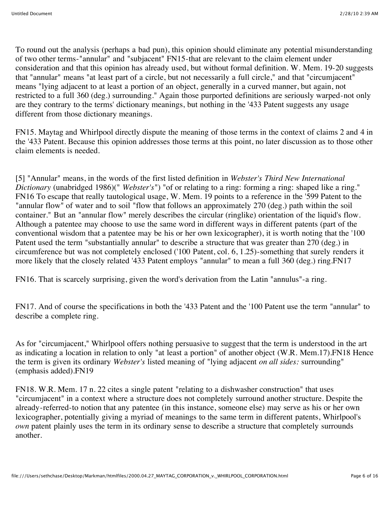To round out the analysis (perhaps a bad pun), this opinion should eliminate any potential misunderstanding of two other terms-"annular" and "subjacent" FN15-that are relevant to the claim element under consideration and that this opinion has already used, but without formal definition. W. Mem. 19-20 suggests that "annular" means "at least part of a circle, but not necessarily a full circle," and that "circumjacent" means "lying adjacent to at least a portion of an object, generally in a curved manner, but again, not restricted to a full 360 (deg.) surrounding." Again those purported definitions are seriously warped-not only are they contrary to the terms' dictionary meanings, but nothing in the '433 Patent suggests any usage different from those dictionary meanings.

FN15. Maytag and Whirlpool directly dispute the meaning of those terms in the context of claims 2 and 4 in the '433 Patent. Because this opinion addresses those terms at this point, no later discussion as to those other claim elements is needed.

[5] "Annular" means, in the words of the first listed definition in *Webster's Third New International Dictionary* (unabridged 1986)(" *Webster's*") "of or relating to a ring: forming a ring: shaped like a ring." FN16 To escape that really tautological usage, W. Mem. 19 points to a reference in the '599 Patent to the "annular flow" of water and to soil "flow that follows an approximately 270 (deg.) path within the soil container." But an "annular flow" merely describes the circular (ringlike) orientation of the liquid's flow. Although a patentee may choose to use the same word in different ways in different patents (part of the conventional wisdom that a patentee may be his or her own lexicographer), it is worth noting that the '100 Patent used the term "substantially annular" to describe a structure that was greater than 270 (deg.) in circumference but was not completely enclosed ('100 Patent, col. 6, 1.25)-something that surely renders it more likely that the closely related '433 Patent employs "annular" to mean a full 360 (deg.) ring.FN17

FN16. That is scarcely surprising, given the word's derivation from the Latin "annulus"-a ring.

FN17. And of course the specifications in both the '433 Patent and the '100 Patent use the term "annular" to describe a complete ring.

As for "circumjacent," Whirlpool offers nothing persuasive to suggest that the term is understood in the art as indicating a location in relation to only "at least a portion" of another object (W.R. Mem.17).FN18 Hence the term is given its ordinary *Webster's* listed meaning of "lying adjacent *on all sides:* surrounding" (emphasis added).FN19

FN18. W.R. Mem. 17 n. 22 cites a single patent "relating to a dishwasher construction" that uses "circumjacent" in a context where a structure does not completely surround another structure. Despite the already-referred-to notion that any patentee (in this instance, someone else) may serve as his or her own lexicographer, potentially giving a myriad of meanings to the same term in different patents, Whirlpool's *own* patent plainly uses the term in its ordinary sense to describe a structure that completely surrounds another.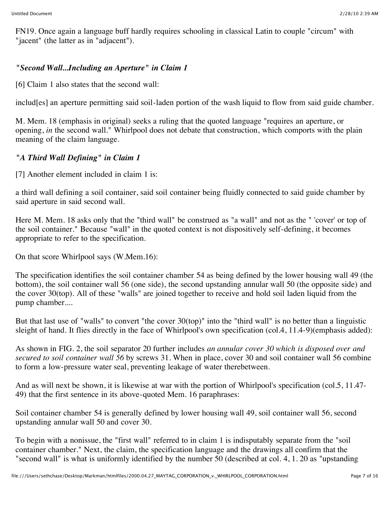FN19. Once again a language buff hardly requires schooling in classical Latin to couple "circum" with "jacent" (the latter as in "adjacent").

## *"Second Wall...Including an Aperture" in Claim 1*

[6] Claim 1 also states that the second wall:

includ[es] an aperture permitting said soil-laden portion of the wash liquid to flow from said guide chamber.

M. Mem. 18 (emphasis in original) seeks a ruling that the quoted language "requires an aperture, or opening, *in* the second wall." Whirlpool does not debate that construction, which comports with the plain meaning of the claim language.

# *"A Third Wall Defining" in Claim 1*

[7] Another element included in claim 1 is:

a third wall defining a soil container, said soil container being fluidly connected to said guide chamber by said aperture in said second wall.

Here M. Mem. 18 asks only that the "third wall" be construed as "a wall" and not as the " 'cover' or top of the soil container." Because "wall" in the quoted context is not dispositively self-defining, it becomes appropriate to refer to the specification.

On that score Whirlpool says (W.Mem.16):

The specification identifies the soil container chamber 54 as being defined by the lower housing wall 49 (the bottom), the soil container wall 56 (one side), the second upstanding annular wall 50 (the opposite side) and the cover 30(top). All of these "walls" are joined together to receive and hold soil laden liquid from the pump chamber....

But that last use of "walls" to convert "the cover 30(top)" into the "third wall" is no better than a linguistic sleight of hand. It flies directly in the face of Whirlpool's own specification (col.4, 11.4-9)(emphasis added):

As shown in FIG. 2, the soil separator 20 further includes *an annular cover 30 which is disposed over and secured to soil container wall 56* by screws 31. When in place, cover 30 and soil container wall 56 combine to form a low-pressure water seal, preventing leakage of water therebetween.

And as will next be shown, it is likewise at war with the portion of Whirlpool's specification (col.5, 11.47- 49) that the first sentence in its above-quoted Mem. 16 paraphrases:

Soil container chamber 54 is generally defined by lower housing wall 49, soil container wall 56, second upstanding annular wall 50 and cover 30.

To begin with a nonissue, the "first wall" referred to in claim 1 is indisputably separate from the "soil container chamber." Next, the claim, the specification language and the drawings all confirm that the "second wall" is what is uniformly identified by the number 50 (described at col. 4, 1. 20 as "upstanding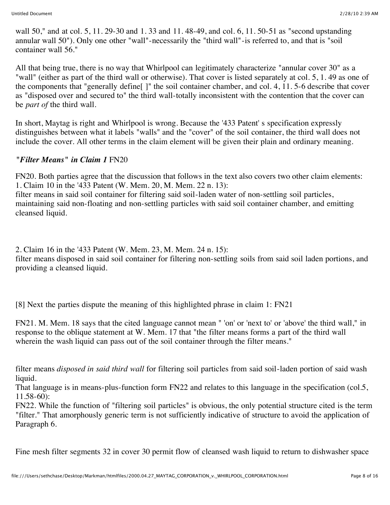wall 50," and at col. 5, 11. 29-30 and 1. 33 and 11. 48-49, and col. 6, 11. 50-51 as "second upstanding annular wall 50"). Only one other "wall"-necessarily the "third wall"-is referred to, and that is "soil container wall 56."

All that being true, there is no way that Whirlpool can legitimately characterize "annular cover 30" as a "wall" (either as part of the third wall or otherwise). That cover is listed separately at col. 5, 1. 49 as one of the components that "generally define[ ]" the soil container chamber, and col. 4, 11. 5-6 describe that cover as "disposed over and secured to" the third wall-totally inconsistent with the contention that the cover can be *part of* the third wall.

In short, Maytag is right and Whirlpool is wrong. Because the '433 Patent' s specification expressly distinguishes between what it labels "walls" and the "cover" of the soil container, the third wall does not include the cover. All other terms in the claim element will be given their plain and ordinary meaning.

#### *"Filter Means" in Claim 1* FN20

FN20. Both parties agree that the discussion that follows in the text also covers two other claim elements: 1. Claim 10 in the '433 Patent (W. Mem. 20, M. Mem. 22 n. 13): filter means in said soil container for filtering said soil-laden water of non-settling soil particles, maintaining said non-floating and non-settling particles with said soil container chamber, and emitting cleansed liquid.

2. Claim 16 in the '433 Patent (W. Mem. 23, M. Mem. 24 n. 15): filter means disposed in said soil container for filtering non-settling soils from said soil laden portions, and providing a cleansed liquid.

[8] Next the parties dispute the meaning of this highlighted phrase in claim 1: FN21

FN21. M. Mem. 18 says that the cited language cannot mean " 'on' or 'next to' or 'above' the third wall," in response to the oblique statement at W. Mem. 17 that "the filter means forms a part of the third wall wherein the wash liquid can pass out of the soil container through the filter means."

filter means *disposed in said third wall* for filtering soil particles from said soil-laden portion of said wash liquid.

That language is in means-plus-function form FN22 and relates to this language in the specification (col.5, 11.58-60):

FN22. While the function of "filtering soil particles" is obvious, the only potential structure cited is the term "filter." That amorphously generic term is not sufficiently indicative of structure to avoid the application of Paragraph 6.

Fine mesh filter segments 32 in cover 30 permit flow of cleansed wash liquid to return to dishwasher space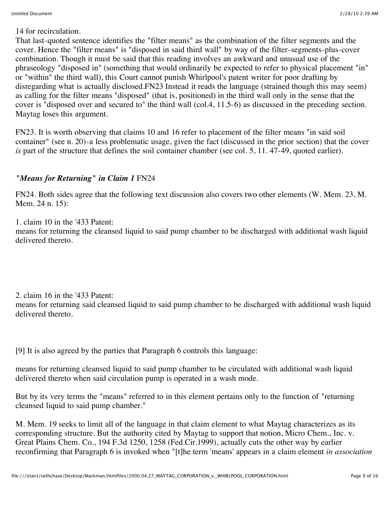#### 14 for recirculation.

That last-quoted sentence identifies the "filter means" as the combination of the filter segments and the cover. Hence the "filter means" is "disposed in said third wall" by way of the filter-segments-plus-cover combination. Though it must be said that this reading involves an awkward and unusual use of the phraseology "disposed in" (something that would ordinarily be expected to refer to physical placement "in" or "within" the third wall), this Court cannot punish Whirlpool's patent writer for poor drafting by disregarding what is actually disclosed.FN23 Instead it reads the language (strained though this may seem) as calling for the filter means "disposed" (that is, positioned) in the third wall only in the sense that the cover is "disposed over and secured to" the third wall (col.4, 11.5-6) as discussed in the preceding section. Maytag loses this argument.

FN23. It is worth observing that claims 10 and 16 refer to placement of the filter means "in said soil container" (see n. 20)-a less problematic usage, given the fact (discussed in the prior section) that the cover *is* part of the structure that defines the soil container chamber (see col. 5, 11, 47-49, quoted earlier).

#### *"Means for Returning" in Claim 1* FN24

FN24. Both sides agree that the following text discussion also covers two other elements (W. Mem. 23, M. Mem. 24 n. 15):

1. claim 10 in the '433 Patent:

means for returning the cleansed liquid to said pump chamber to be discharged with additional wash liquid delivered thereto.

#### 2. claim 16 in the '433 Patent:

means for returning said cleansed liquid to said pump chamber to be discharged with additional wash liquid delivered thereto.

[9] It is also agreed by the parties that Paragraph 6 controls this language:

means for returning cleansed liquid to said pump chamber to be circulated with additional wash liquid delivered thereto when said circulation pump is operated in a wash mode.

But by its very terms the "means" referred to in this element pertains only to the function of "returning cleansed liquid to said pump chamber."

M. Mem. 19 seeks to limit all of the language in that claim element to what Maytag characterizes as its corresponding structure. But the authority cited by Maytag to support that notion, Micro Chem., Inc. v. Great Plains Chem. Co., 194 F.3d 1250, 1258 (Fed.Cir.1999), actually cuts the other way by earlier reconfirming that Paragraph 6 is invoked when "[t]he term 'means' appears in a claim element *in association*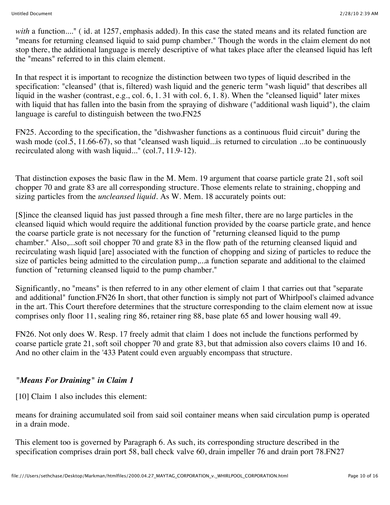with a function...." (id. at 1257, emphasis added). In this case the stated means and its related function are "means for returning cleansed liquid to said pump chamber." Though the words in the claim element do not stop there, the additional language is merely descriptive of what takes place after the cleansed liquid has left the "means" referred to in this claim element.

In that respect it is important to recognize the distinction between two types of liquid described in the specification: "cleansed" (that is, filtered) wash liquid and the generic term "wash liquid" that describes all liquid in the washer (contrast, e.g., col. 6, 1. 31 with col. 6, 1. 8). When the "cleansed liquid" later mixes with liquid that has fallen into the basin from the spraying of dishware ("additional wash liquid"), the claim language is careful to distinguish between the two.FN25

FN25. According to the specification, the "dishwasher functions as a continuous fluid circuit" during the wash mode (col.5, 11.66-67), so that "cleansed wash liquid... is returned to circulation ...to be continuously recirculated along with wash liquid..." (col.7, 11.9-12).

That distinction exposes the basic flaw in the M. Mem. 19 argument that coarse particle grate 21, soft soil chopper 70 and grate 83 are all corresponding structure. Those elements relate to straining, chopping and sizing particles from the *uncleansed liquid.* As W. Mem. 18 accurately points out:

[S]ince the cleansed liquid has just passed through a fine mesh filter, there are no large particles in the cleansed liquid which would require the additional function provided by the coarse particle grate, and hence the coarse particle grate is not necessary for the function of "returning cleansed liquid to the pump chamber." Also,...soft soil chopper 70 and grate 83 in the flow path of the returning cleansed liquid and recirculating wash liquid [are] associated with the function of chopping and sizing of particles to reduce the size of particles being admitted to the circulation pump,...a function separate and additional to the claimed function of "returning cleansed liquid to the pump chamber."

Significantly, no "means" is then referred to in any other element of claim 1 that carries out that "separate and additional" function.FN26 In short, that other function is simply not part of Whirlpool's claimed advance in the art. This Court therefore determines that the structure corresponding to the claim element now at issue comprises only floor 11, sealing ring 86, retainer ring 88, base plate 65 and lower housing wall 49.

FN26. Not only does W. Resp. 17 freely admit that claim 1 does not include the functions performed by coarse particle grate 21, soft soil chopper 70 and grate 83, but that admission also covers claims 10 and 16. And no other claim in the '433 Patent could even arguably encompass that structure.

## *"Means For Draining" in Claim 1*

[10] Claim 1 also includes this element:

means for draining accumulated soil from said soil container means when said circulation pump is operated in a drain mode.

This element too is governed by Paragraph 6. As such, its corresponding structure described in the specification comprises drain port 58, ball check valve 60, drain impeller 76 and drain port 78.FN27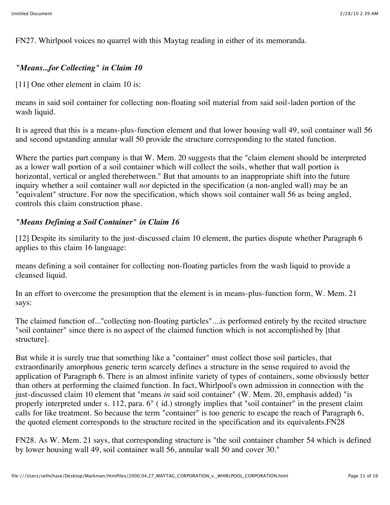FN27. Whirlpool voices no quarrel with this Maytag reading in either of its memoranda.

## *"Means...for Collecting" in Claim 10*

[11] One other element in claim 10 is:

means in said soil container for collecting non-floating soil material from said soil-laden portion of the wash liquid.

It is agreed that this is a means-plus-function element and that lower housing wall 49, soil container wall 56 and second upstanding annular wall 50 provide the structure corresponding to the stated function.

Where the parties part company is that W. Mem. 20 suggests that the "claim element should be interpreted as a lower wall portion of a soil container which will collect the soils, whether that wall portion is horizontal, vertical or angled therebetween." But that amounts to an inappropriate shift into the future inquiry whether a soil container wall *not* depicted in the specification (a non-angled wall) may be an "equivalent" structure. For now the specification, which shows soil container wall 56 as being angled, controls this claim construction phase.

## *"Means Defining a Soil Container" in Claim 16*

[12] Despite its similarity to the just-discussed claim 10 element, the parties dispute whether Paragraph 6 applies to this claim 16 language:

means defining a soil container for collecting non-floating particles from the wash liquid to provide a cleansed liquid.

In an effort to overcome the presumption that the element is in means-plus-function form, W. Mem. 21 says:

The claimed function of..."collecting non-floating particles"....is performed entirely by the recited structure "soil container" since there is no aspect of the claimed function which is not accomplished by [that structure].

But while it is surely true that something like a "container" must collect those soil particles, that extraordinarily amorphous generic term scarcely defines a structure in the sense required to avoid the application of Paragraph 6. There is an almost infinite variety of types of containers, some obviously better than others at performing the claimed function. In fact, Whirlpool's own admission in connection with the just-discussed claim 10 element that "means *in* said soil container" (W. Mem. 20, emphasis added) "is properly interpreted under s. 112, para. 6" ( id.) strongly implies that "soil container" in the present claim calls for like treatment. So because the term "container" is too generic to escape the reach of Paragraph 6, the quoted element corresponds to the structure recited in the specification and its equivalents.FN28

FN28. As W. Mem. 21 says, that corresponding structure is "the soil container chamber 54 which is defined by lower housing wall 49, soil container wall 56, annular wall 50 and cover 30."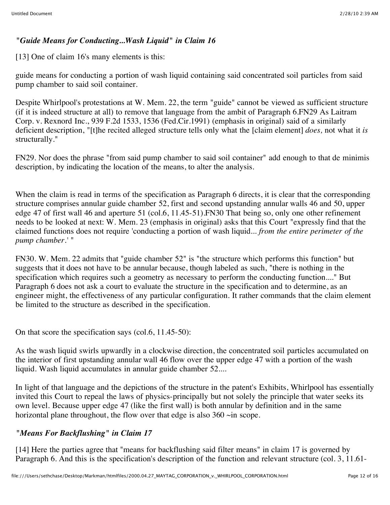## *"Guide Means for Conducting...Wash Liquid" in Claim 16*

[13] One of claim 16's many elements is this:

guide means for conducting a portion of wash liquid containing said concentrated soil particles from said pump chamber to said soil container.

Despite Whirlpool's protestations at W. Mem. 22, the term "guide" cannot be viewed as sufficient structure (if it is indeed structure at all) to remove that language from the ambit of Paragraph 6.FN29 As Laitram Corp. v. Rexnord Inc., 939 F.2d 1533, 1536 (Fed.Cir.1991) (emphasis in original) said of a similarly deficient description, "[t]he recited alleged structure tells only what the [claim element] *does,* not what it *is* structurally."

FN29. Nor does the phrase "from said pump chamber to said soil container" add enough to that de minimis description, by indicating the location of the means, to alter the analysis.

When the claim is read in terms of the specification as Paragraph 6 directs, it is clear that the corresponding structure comprises annular guide chamber 52, first and second upstanding annular walls 46 and 50, upper edge 47 of first wall 46 and aperture 51 (col.6, 11.45-51).FN30 That being so, only one other refinement needs to be looked at next: W. Mem. 23 (emphasis in original) asks that this Court "expressly find that the claimed functions does not require 'conducting a portion of wash liquid... *from the entire perimeter of the pump chamber.'* "

FN30. W. Mem. 22 admits that "guide chamber 52" is "the structure which performs this function" but suggests that it does not have to be annular because, though labeled as such, "there is nothing in the specification which requires such a geometry as necessary to perform the conducting function...." But Paragraph 6 does not ask a court to evaluate the structure in the specification and to determine, as an engineer might, the effectiveness of any particular configuration. It rather commands that the claim element be limited to the structure as described in the specification.

On that score the specification says (col.6, 11.45-50):

As the wash liquid swirls upwardly in a clockwise direction, the concentrated soil particles accumulated on the interior of first upstanding annular wall 46 flow over the upper edge 47 with a portion of the wash liquid. Wash liquid accumulates in annular guide chamber 52....

In light of that language and the depictions of the structure in the patent's Exhibits, Whirlpool has essentially invited this Court to repeal the laws of physics-principally but not solely the principle that water seeks its own level. Because upper edge 47 (like the first wall) is both annular by definition and in the same horizontal plane throughout, the flow over that edge is also  $360 \sim in$  scope.

# *"Means For Backflushing" in Claim 17*

[14] Here the parties agree that "means for backflushing said filter means" in claim 17 is governed by Paragraph 6. And this is the specification's description of the function and relevant structure (col. 3, 11.61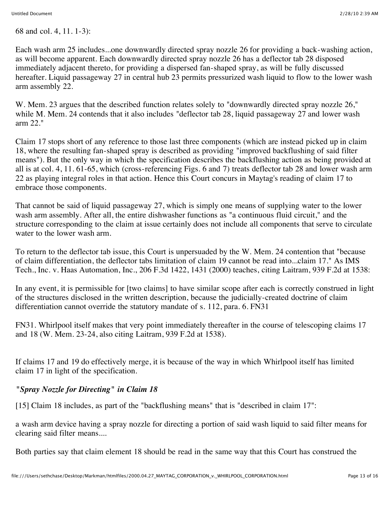68 and col. 4, 11. 1-3):

Each wash arm 25 includes...one downwardly directed spray nozzle 26 for providing a back-washing action, as will become apparent. Each downwardly directed spray nozzle 26 has a deflector tab 28 disposed immediately adjacent thereto, for providing a dispersed fan-shaped spray, as will be fully discussed hereafter. Liquid passageway 27 in central hub 23 permits pressurized wash liquid to flow to the lower wash arm assembly 22.

W. Mem. 23 argues that the described function relates solely to "downwardly directed spray nozzle 26," while M. Mem. 24 contends that it also includes "deflector tab 28, liquid passageway 27 and lower wash arm 22."

Claim 17 stops short of any reference to those last three components (which are instead picked up in claim 18, where the resulting fan-shaped spray is described as providing "improved backflushing of said filter means"). But the only way in which the specification describes the backflushing action as being provided at all is at col. 4, 11. 61-65, which (cross-referencing Figs. 6 and 7) treats deflector tab 28 and lower wash arm 22 as playing integral roles in that action. Hence this Court concurs in Maytag's reading of claim 17 to embrace those components.

That cannot be said of liquid passageway 27, which is simply one means of supplying water to the lower wash arm assembly. After all, the entire dishwasher functions as "a continuous fluid circuit," and the structure corresponding to the claim at issue certainly does not include all components that serve to circulate water to the lower wash arm.

To return to the deflector tab issue, this Court is unpersuaded by the W. Mem. 24 contention that "because of claim differentiation, the deflector tabs limitation of claim 19 cannot be read into...claim 17." As IMS Tech., Inc. v. Haas Automation, Inc., 206 F.3d 1422, 1431 (2000) teaches, citing Laitram, 939 F.2d at 1538:

In any event, it is permissible for [two claims] to have similar scope after each is correctly construed in light of the structures disclosed in the written description, because the judicially-created doctrine of claim differentiation cannot override the statutory mandate of s. 112, para. 6. FN31

FN31. Whirlpool itself makes that very point immediately thereafter in the course of telescoping claims 17 and 18 (W. Mem. 23-24, also citing Laitram, 939 F.2d at 1538).

If claims 17 and 19 do effectively merge, it is because of the way in which Whirlpool itself has limited claim 17 in light of the specification.

# *"Spray Nozzle for Directing" in Claim 18*

[15] Claim 18 includes, as part of the "backflushing means" that is "described in claim 17":

a wash arm device having a spray nozzle for directing a portion of said wash liquid to said filter means for clearing said filter means....

Both parties say that claim element 18 should be read in the same way that this Court has construed the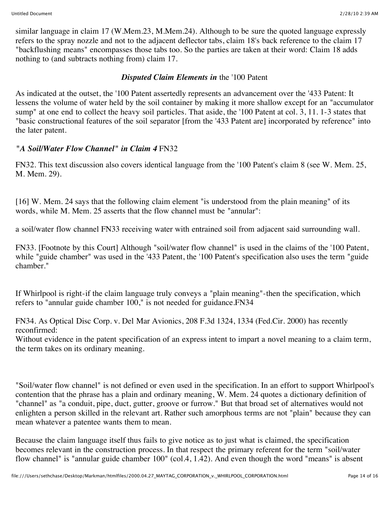similar language in claim 17 (W.Mem.23, M.Mem.24). Although to be sure the quoted language expressly refers to the spray nozzle and not to the adjacent deflector tabs, claim 18's back reference to the claim 17 "backflushing means" encompasses those tabs too. So the parties are taken at their word: Claim 18 adds nothing to (and subtracts nothing from) claim 17.

#### *Disputed Claim Elements in* the '100 Patent

As indicated at the outset, the '100 Patent assertedly represents an advancement over the '433 Patent: It lessens the volume of water held by the soil container by making it more shallow except for an "accumulator sump" at one end to collect the heavy soil particles. That aside, the '100 Patent at col. 3, 11. 1-3 states that "basic constructional features of the soil separator [from the '433 Patent are] incorporated by reference" into the later patent.

## *"A Soil/Water Flow Channel" in Claim 4* FN32

FN32. This text discussion also covers identical language from the '100 Patent's claim 8 (see W. Mem. 25, M. Mem. 29).

[16] W. Mem. 24 says that the following claim element "is understood from the plain meaning" of its words, while M. Mem. 25 asserts that the flow channel must be "annular":

a soil/water flow channel FN33 receiving water with entrained soil from adjacent said surrounding wall.

FN33. [Footnote by this Court] Although "soil/water flow channel" is used in the claims of the '100 Patent, while "guide chamber" was used in the '433 Patent, the '100 Patent's specification also uses the term "guide chamber."

If Whirlpool is right-if the claim language truly conveys a "plain meaning"-then the specification, which refers to "annular guide chamber 100," is not needed for guidance.FN34

FN34. As Optical Disc Corp. v. Del Mar Avionics, 208 F.3d 1324, 1334 (Fed.Cir. 2000) has recently reconfirmed:

Without evidence in the patent specification of an express intent to impart a novel meaning to a claim term, the term takes on its ordinary meaning.

"Soil/water flow channel" is not defined or even used in the specification. In an effort to support Whirlpool's contention that the phrase has a plain and ordinary meaning, W. Mem. 24 quotes a dictionary definition of "channel" as "a conduit, pipe, duct, gutter, groove or furrow." But that broad set of alternatives would not enlighten a person skilled in the relevant art. Rather such amorphous terms are not "plain" because they can mean whatever a patentee wants them to mean.

Because the claim language itself thus fails to give notice as to just what is claimed, the specification becomes relevant in the construction process. In that respect the primary referent for the term "soil/water flow channel" is "annular guide chamber 100" (col.4, 1.42). And even though the word "means" is absent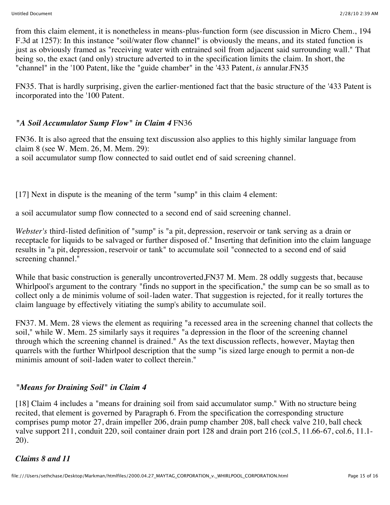from this claim element, it is nonetheless in means-plus-function form (see discussion in Micro Chem., 194 F.3d at 1257): In this instance "soil/water flow channel" is obviously the means, and its stated function is just as obviously framed as "receiving water with entrained soil from adjacent said surrounding wall." That being so, the exact (and only) structure adverted to in the specification limits the claim. In short, the "channel" in the '100 Patent, like the "guide chamber" in the '433 Patent, *is* annular.FN35

FN35. That is hardly surprising, given the earlier-mentioned fact that the basic structure of the '433 Patent is incorporated into the '100 Patent.

### *"A Soil Accumulator Sump Flow" in Claim 4* FN36

FN36. It is also agreed that the ensuing text discussion also applies to this highly similar language from claim 8 (see W. Mem. 26, M. Mem. 29): a soil accumulator sump flow connected to said outlet end of said screening channel.

[17] Next in dispute is the meaning of the term "sump" in this claim 4 element:

a soil accumulator sump flow connected to a second end of said screening channel.

*Webster's* third-listed definition of "sump" is "a pit, depression, reservoir or tank serving as a drain or receptacle for liquids to be salvaged or further disposed of." Inserting that definition into the claim language results in "a pit, depression, reservoir or tank" to accumulate soil "connected to a second end of said screening channel."

While that basic construction is generally uncontroverted, FN37 M. Mem. 28 oddly suggests that, because Whirlpool's argument to the contrary "finds no support in the specification," the sump can be so small as to collect only a de minimis volume of soil-laden water. That suggestion is rejected, for it really tortures the claim language by effectively vitiating the sump's ability to accumulate soil.

FN37. M. Mem. 28 views the element as requiring "a recessed area in the screening channel that collects the soil," while W. Mem. 25 similarly says it requires "a depression in the floor of the screening channel through which the screening channel is drained." As the text discussion reflects, however, Maytag then quarrels with the further Whirlpool description that the sump "is sized large enough to permit a non-de minimis amount of soil-laden water to collect therein."

## *"Means for Draining Soil" in Claim 4*

[18] Claim 4 includes a "means for draining soil from said accumulator sump." With no structure being recited, that element is governed by Paragraph 6. From the specification the corresponding structure comprises pump motor 27, drain impeller 206, drain pump chamber 208, ball check valve 210, ball check valve support 211, conduit 220, soil container drain port 128 and drain port 216 (col.5, 11.66-67, col.6, 11.1- 20).

## *Claims 8 and 11*